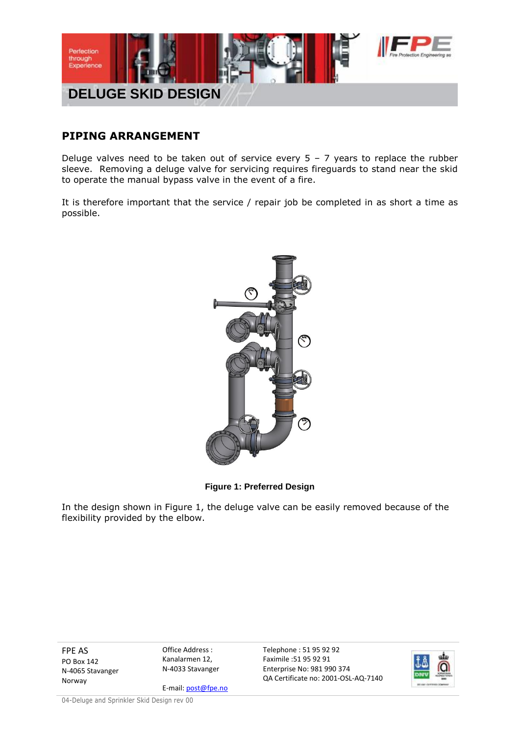

## **PIPING ARRANGEMENT**

Deluge valves need to be taken out of service every  $5 - 7$  years to replace the rubber sleeve. Removing a deluge valve for servicing requires fireguards to stand near the skid to operate the manual bypass valve in the event of a fire.

It is therefore important that the service / repair job be completed in as short a time as possible.



**Figure 1: Preferred Design**

In the design shown in Figure 1, the deluge valve can be easily removed because of the flexibility provided by the elbow.

FPE AS PO Box 142 N-4065 Stavanger Norway

Office Address : Kanalarmen 12, N-4033 Stavanger

E-mail: post@fpe.no

Telephone : 51 95 92 92 Faximile :51 95 92 91 Enterprise No: 981 990 374 QA Certificate no: 2001-OSL-AQ-7140



04-Deluge and Sprinkler Skid Design rev 00